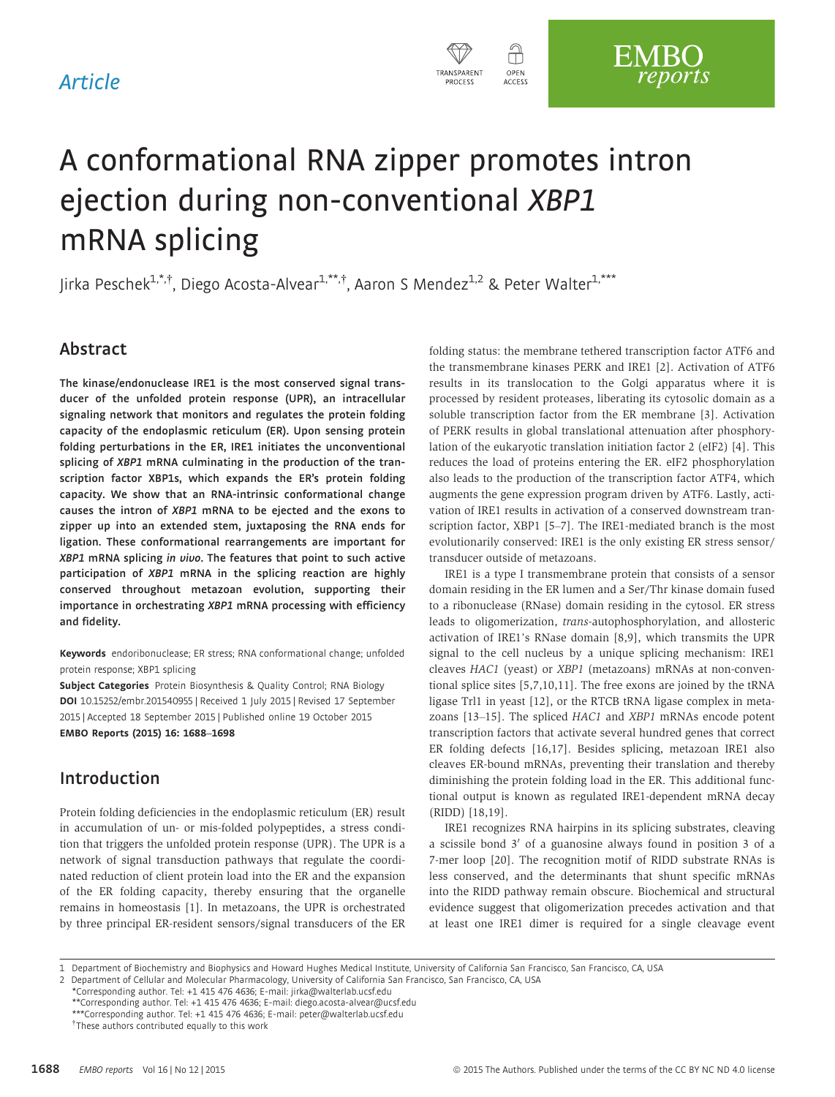# Article



# A conformational RNA zipper promotes intron ejection during non-conventional XBP1 mRNA splicing

Jirka Peschek<sup>1,\*,†</sup>, Diego Acosta-Alvear<sup>1,\*\*,†</sup>, Aaron S Mendez<sup>1,2</sup> & Peter Walter<sup>1,\*\*\*</sup>

# Abstract

The kinase/endonuclease IRE1 is the most conserved signal transducer of the unfolded protein response (UPR), an intracellular signaling network that monitors and regulates the protein folding capacity of the endoplasmic reticulum (ER). Upon sensing protein folding perturbations in the ER, IRE1 initiates the unconventional splicing of XBP1 mRNA culminating in the production of the transcription factor XBP1s, which expands the ER's protein folding capacity. We show that an RNA-intrinsic conformational change causes the intron of XBP1 mRNA to be ejected and the exons to zipper up into an extended stem, juxtaposing the RNA ends for ligation. These conformational rearrangements are important for XBP1 mRNA splicing in vivo. The features that point to such active participation of XBP1 mRNA in the splicing reaction are highly conserved throughout metazoan evolution, supporting their importance in orchestrating XBP1 mRNA processing with efficiency and fidelity.

Keywords endoribonuclease; ER stress; RNA conformational change; unfolded protein response; XBP1 splicing

Subject Categories Protein Biosynthesis & Quality Control; RNA Biology DOI 10.15252/embr.201540955 | Received 1 July 2015 | Revised 17 September 2015 | Accepted 18 September 2015 | Published online 19 October 2015 EMBO Reports (2015) 16: 1688–1698

# Introduction

Protein folding deficiencies in the endoplasmic reticulum (ER) result in accumulation of un- or mis-folded polypeptides, a stress condition that triggers the unfolded protein response (UPR). The UPR is a network of signal transduction pathways that regulate the coordinated reduction of client protein load into the ER and the expansion of the ER folding capacity, thereby ensuring that the organelle remains in homeostasis [1]. In metazoans, the UPR is orchestrated by three principal ER-resident sensors/signal transducers of the ER folding status: the membrane tethered transcription factor ATF6 and the transmembrane kinases PERK and IRE1 [2]. Activation of ATF6 results in its translocation to the Golgi apparatus where it is processed by resident proteases, liberating its cytosolic domain as a soluble transcription factor from the ER membrane [3]. Activation of PERK results in global translational attenuation after phosphorylation of the eukaryotic translation initiation factor 2 (eIF2) [4]. This reduces the load of proteins entering the ER. eIF2 phosphorylation also leads to the production of the transcription factor ATF4, which augments the gene expression program driven by ATF6. Lastly, activation of IRE1 results in activation of a conserved downstream transcription factor, XBP1 [5–7]. The IRE1-mediated branch is the most evolutionarily conserved: IRE1 is the only existing ER stress sensor/ transducer outside of metazoans.

IRE1 is a type I transmembrane protein that consists of a sensor domain residing in the ER lumen and a Ser/Thr kinase domain fused to a ribonuclease (RNase) domain residing in the cytosol. ER stress leads to oligomerization, trans-autophosphorylation, and allosteric activation of IRE1's RNase domain [8,9], which transmits the UPR signal to the cell nucleus by a unique splicing mechanism: IRE1 cleaves HAC1 (yeast) or XBP1 (metazoans) mRNAs at non-conventional splice sites [5,7,10,11]. The free exons are joined by the tRNA ligase Trl1 in yeast [12], or the RTCB tRNA ligase complex in metazoans [13–15]. The spliced HAC1 and XBP1 mRNAs encode potent transcription factors that activate several hundred genes that correct ER folding defects [16,17]. Besides splicing, metazoan IRE1 also cleaves ER-bound mRNAs, preventing their translation and thereby diminishing the protein folding load in the ER. This additional functional output is known as regulated IRE1-dependent mRNA decay (RIDD) [18,19].

IRE1 recognizes RNA hairpins in its splicing substrates, cleaving a scissile bond  $3'$  of a guanosine always found in position  $3$  of a 7-mer loop [20]. The recognition motif of RIDD substrate RNAs is less conserved, and the determinants that shunt specific mRNAs into the RIDD pathway remain obscure. Biochemical and structural evidence suggest that oligomerization precedes activation and that at least one IRE1 dimer is required for a single cleavage event

<sup>1</sup> Department of Biochemistry and Biophysics and Howard Hughes Medical Institute, University of California San Francisco, San Francisco, CA, USA

<sup>2</sup> Department of Cellular and Molecular Pharmacology, University of California San Francisco, San Francisco, CA, USA

<sup>\*</sup>Corresponding author. Tel: +1 415 476 4636; E-mail: jirka@walterlab.ucsf.edu

<sup>\*\*</sup>Corresponding author. Tel: +1 415 476 4636; E-mail: diego.acosta-alvear@ucsf.edu

<sup>\*\*\*</sup>Corresponding author. Tel: +1 415 476 4636; E-mail: peter@walterlab.ucsf.edu

These authors contributed equally to this work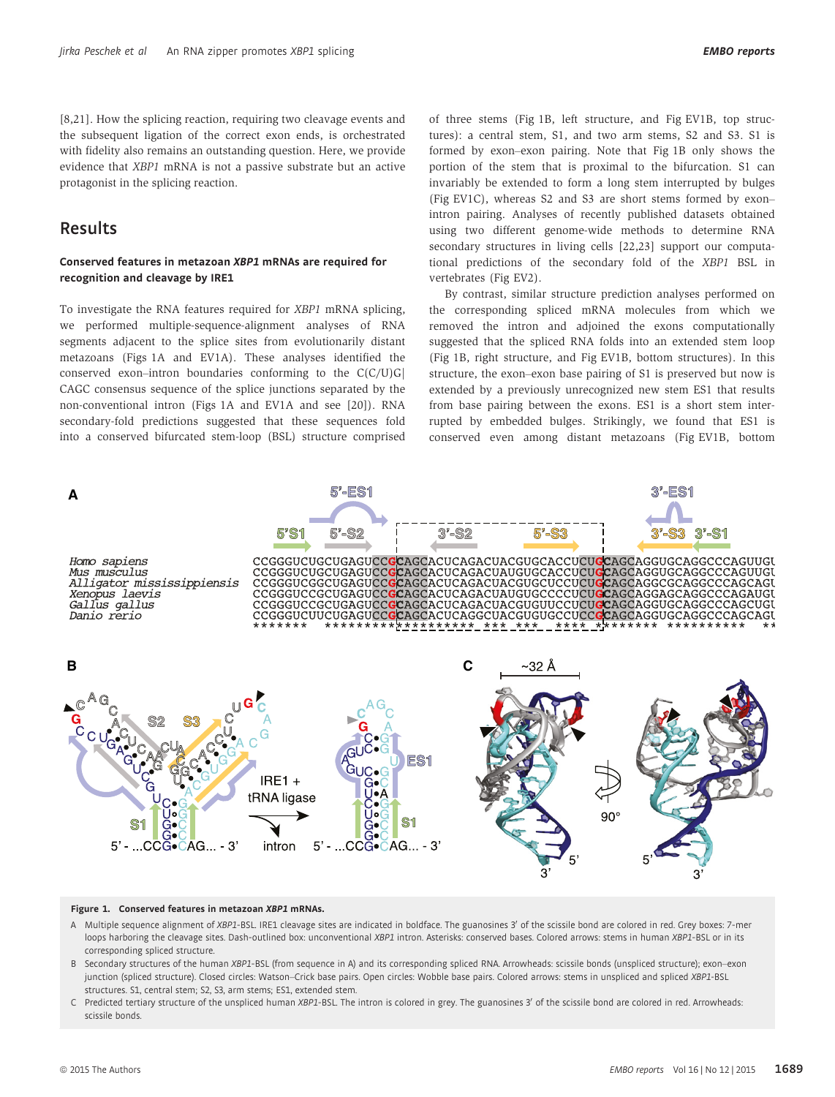[8,21]. How the splicing reaction, requiring two cleavage events and the subsequent ligation of the correct exon ends, is orchestrated with fidelity also remains an outstanding question. Here, we provide evidence that XBP1 mRNA is not a passive substrate but an active protagonist in the splicing reaction.

# Results

# Conserved features in metazoan XBP1 mRNAs are required for recognition and cleavage by IRE1

To investigate the RNA features required for XBP1 mRNA splicing, we performed multiple-sequence-alignment analyses of RNA segments adjacent to the splice sites from evolutionarily distant metazoans (Figs 1A and EV1A). These analyses identified the conserved exon–intron boundaries conforming to the  $C(C/U)G$ CAGC consensus sequence of the splice junctions separated by the non-conventional intron (Figs 1A and EV1A and see [20]). RNA secondary-fold predictions suggested that these sequences fold into a conserved bifurcated stem-loop (BSL) structure comprised of three stems (Fig 1B, left structure, and Fig EV1B, top structures): a central stem, S1, and two arm stems, S2 and S3. S1 is formed by exon–exon pairing. Note that Fig 1B only shows the portion of the stem that is proximal to the bifurcation. S1 can invariably be extended to form a long stem interrupted by bulges (Fig EV1C), whereas S2 and S3 are short stems formed by exon– intron pairing. Analyses of recently published datasets obtained using two different genome-wide methods to determine RNA secondary structures in living cells [22,23] support our computational predictions of the secondary fold of the XBP1 BSL in vertebrates (Fig EV2).

By contrast, similar structure prediction analyses performed on the corresponding spliced mRNA molecules from which we removed the intron and adjoined the exons computationally suggested that the spliced RNA folds into an extended stem loop (Fig 1B, right structure, and Fig EV1B, bottom structures). In this structure, the exon–exon base pairing of S1 is preserved but now is extended by a previously unrecognized new stem ES1 that results from base pairing between the exons. ES1 is a short stem interrupted by embedded bulges. Strikingly, we found that ES1 is conserved even among distant metazoans (Fig EV1B, bottom



#### Figure 1. Conserved features in metazoan XBP1 mRNAs.

- A Multiple sequence alignment of XBP1-BSL. IRE1 cleavage sites are indicated in boldface. The guanosines 3' of the scissile bond are colored in red. Grey boxes: 7-mer loops harboring the cleavage sites. Dash-outlined box: unconventional XBP1 intron. Asterisks: conserved bases. Colored arrows: stems in human XBP1-BSL or in its corresponding spliced structure.
- B Secondary structures of the human XBP1-BSL (from sequence in A) and its corresponding spliced RNA. Arrowheads: scissile bonds (unspliced structure); exon–exon junction (spliced structure). Closed circles: Watson–Crick base pairs. Open circles: Wobble base pairs. Colored arrows: stems in unspliced and spliced XBP1-BSL structures. S1, central stem; S2, S3, arm stems; ES1, extended stem.
- C Predicted tertiary structure of the unspliced human XBP1-BSL. The intron is colored in grey. The guanosines 3' of the scissile bond are colored in red. Arrowheads: scissile bonds.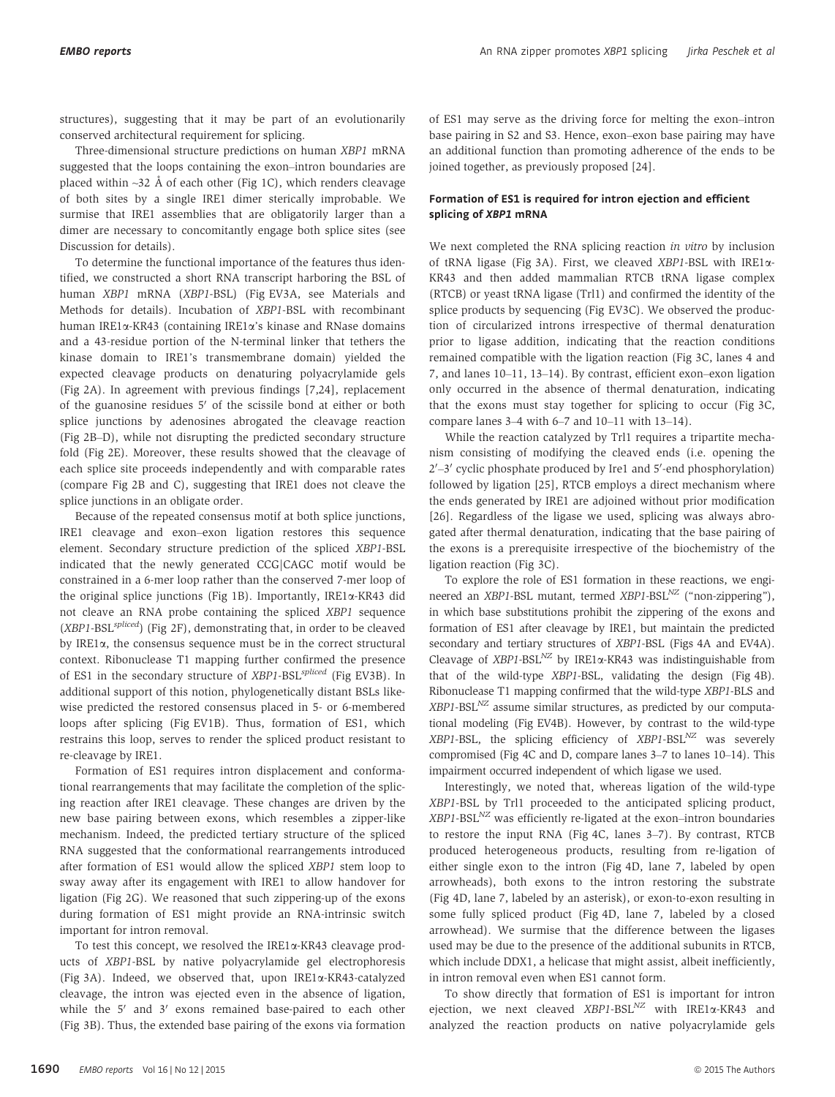structures), suggesting that it may be part of an evolutionarily conserved architectural requirement for splicing.

Three-dimensional structure predictions on human XBP1 mRNA suggested that the loops containing the exon–intron boundaries are placed within  $\sim$ 32 Å of each other (Fig 1C), which renders cleavage of both sites by a single IRE1 dimer sterically improbable. We surmise that IRE1 assemblies that are obligatorily larger than a dimer are necessary to concomitantly engage both splice sites (see Discussion for details).

To determine the functional importance of the features thus identified, we constructed a short RNA transcript harboring the BSL of human XBP1 mRNA (XBP1-BSL) (Fig EV3A, see Materials and Methods for details). Incubation of XBP1-BSL with recombinant human IRE1x-KR43 (containing IRE1x's kinase and RNase domains and a 43-residue portion of the N-terminal linker that tethers the kinase domain to IRE1's transmembrane domain) yielded the expected cleavage products on denaturing polyacrylamide gels (Fig 2A). In agreement with previous findings [7,24], replacement of the guanosine residues  $5'$  of the scissile bond at either or both splice junctions by adenosines abrogated the cleavage reaction (Fig 2B–D), while not disrupting the predicted secondary structure fold (Fig 2E). Moreover, these results showed that the cleavage of each splice site proceeds independently and with comparable rates (compare Fig 2B and C), suggesting that IRE1 does not cleave the splice junctions in an obligate order.

Because of the repeated consensus motif at both splice junctions, IRE1 cleavage and exon–exon ligation restores this sequence element. Secondary structure prediction of the spliced XBP1-BSL indicated that the newly generated CCG|CAGC motif would be constrained in a 6-mer loop rather than the conserved 7-mer loop of the original splice junctions (Fig 1B). Importantly, IRE1a-KR43 did not cleave an RNA probe containing the spliced XBP1 sequence  $(XBP1-BSL<sup>spliced</sup>)$  (Fig 2F), demonstrating that, in order to be cleaved by IRE1 $\alpha$ , the consensus sequence must be in the correct structural context. Ribonuclease T1 mapping further confirmed the presence of ES1 in the secondary structure of XBP1-BSL<sup>spliced</sup> (Fig EV3B). In additional support of this notion, phylogenetically distant BSLs likewise predicted the restored consensus placed in 5- or 6-membered loops after splicing (Fig EV1B). Thus, formation of ES1, which restrains this loop, serves to render the spliced product resistant to re-cleavage by IRE1.

Formation of ES1 requires intron displacement and conformational rearrangements that may facilitate the completion of the splicing reaction after IRE1 cleavage. These changes are driven by the new base pairing between exons, which resembles a zipper-like mechanism. Indeed, the predicted tertiary structure of the spliced RNA suggested that the conformational rearrangements introduced after formation of ES1 would allow the spliced XBP1 stem loop to sway away after its engagement with IRE1 to allow handover for ligation (Fig 2G). We reasoned that such zippering-up of the exons during formation of ES1 might provide an RNA-intrinsic switch important for intron removal.

To test this concept, we resolved the  $IRE1\alpha$ -KR43 cleavage products of XBP1-BSL by native polyacrylamide gel electrophoresis (Fig 3A). Indeed, we observed that, upon IRE1a-KR43-catalyzed cleavage, the intron was ejected even in the absence of ligation, while the  $5'$  and  $3'$  exons remained base-paired to each other (Fig 3B). Thus, the extended base pairing of the exons via formation of ES1 may serve as the driving force for melting the exon–intron base pairing in S2 and S3. Hence, exon–exon base pairing may have an additional function than promoting adherence of the ends to be joined together, as previously proposed [24].

# Formation of ES1 is required for intron ejection and efficient splicing of XBP1 mRNA

We next completed the RNA splicing reaction in vitro by inclusion of tRNA ligase (Fig 3A). First, we cleaved XBP1-BSL with IRE1a-KR43 and then added mammalian RTCB tRNA ligase complex (RTCB) or yeast tRNA ligase (Trl1) and confirmed the identity of the splice products by sequencing (Fig EV3C). We observed the production of circularized introns irrespective of thermal denaturation prior to ligase addition, indicating that the reaction conditions remained compatible with the ligation reaction (Fig 3C, lanes 4 and 7, and lanes 10–11, 13–14). By contrast, efficient exon–exon ligation only occurred in the absence of thermal denaturation, indicating that the exons must stay together for splicing to occur (Fig 3C, compare lanes 3–4 with 6–7 and 10–11 with 13–14).

While the reaction catalyzed by Trl1 requires a tripartite mechanism consisting of modifying the cleaved ends (i.e. opening the  $2'$ –3' cyclic phosphate produced by Ire1 and 5'-end phosphorylation) followed by ligation [25], RTCB employs a direct mechanism where the ends generated by IRE1 are adjoined without prior modification [26]. Regardless of the ligase we used, splicing was always abrogated after thermal denaturation, indicating that the base pairing of the exons is a prerequisite irrespective of the biochemistry of the ligation reaction (Fig 3C).

To explore the role of ES1 formation in these reactions, we engineered an XBP1-BSL mutant, termed  $XBP1-BSL<sup>NZ</sup>$  ("non-zippering"), in which base substitutions prohibit the zippering of the exons and formation of ES1 after cleavage by IRE1, but maintain the predicted secondary and tertiary structures of XBP1-BSL (Figs 4A and EV4A). Cleavage of  $XBP1-BSL<sup>NZ</sup>$  by IRE1 $\alpha$ -KR43 was indistinguishable from that of the wild-type XBP1-BSL, validating the design (Fig 4B). Ribonuclease T1 mapping confirmed that the wild-type XBP1-BLS and  $XBP1-BSL<sup>NZ</sup>$  assume similar structures, as predicted by our computational modeling (Fig EV4B). However, by contrast to the wild-type  $XBP1-BSL$ , the splicing efficiency of  $XBP1-BSL<sup>NZ</sup>$  was severely compromised (Fig 4C and D, compare lanes 3–7 to lanes 10–14). This impairment occurred independent of which ligase we used.

Interestingly, we noted that, whereas ligation of the wild-type XBP1-BSL by Trl1 proceeded to the anticipated splicing product,  $XBP1-BSL<sup>NZ</sup>$  was efficiently re-ligated at the exon–intron boundaries to restore the input RNA (Fig 4C, lanes 3–7). By contrast, RTCB produced heterogeneous products, resulting from re-ligation of either single exon to the intron (Fig 4D, lane 7, labeled by open arrowheads), both exons to the intron restoring the substrate (Fig 4D, lane 7, labeled by an asterisk), or exon-to-exon resulting in some fully spliced product (Fig 4D, lane 7, labeled by a closed arrowhead). We surmise that the difference between the ligases used may be due to the presence of the additional subunits in RTCB, which include DDX1, a helicase that might assist, albeit inefficiently, in intron removal even when ES1 cannot form.

To show directly that formation of ES1 is important for intron ejection, we next cleaved  $XBP1-BSL<sup>NZ</sup>$  with IRE1 $\alpha$ -KR43 and analyzed the reaction products on native polyacrylamide gels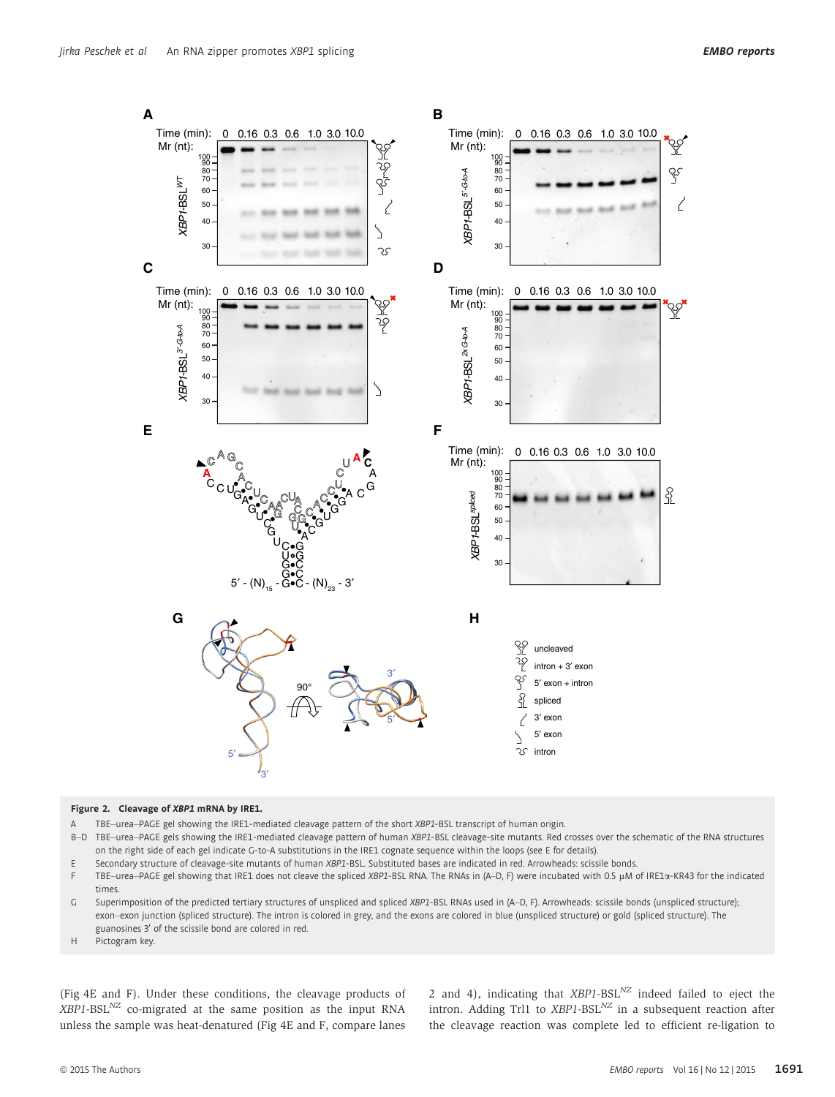

#### Figure 2. Cleavage of XBP1 mRNA by IRE1.

A TBE–urea–PAGE gel showing the IRE1-mediated cleavage pattern of the short XBP1-BSL transcript of human origin.

- B-D TBE-urea-PAGE gels showing the IRE1-mediated cleavage pattern of human XBP1-BSL cleavage-site mutants. Red crosses over the schematic of the RNA structures on the right side of each gel indicate G-to-A substitutions in the IRE1 cognate sequence within the loops (see E for details).
- E Secondary structure of cleavage-site mutants of human XBP1-BSL. Substituted bases are indicated in red. Arrowheads: scissile bonds.
- TBE-urea-PAGE gel showing that IRE1 does not cleave the spliced XBP1-BSL RNA. The RNAs in (A–D, F) were incubated with 0.5 µM of IRE1a-KR43 for the indicated times.
- G Superimposition of the predicted tertiary structures of unspliced and spliced XBP1-BSL RNAs used in (A–D, F). Arrowheads: scissile bonds (unspliced structure); exon–exon junction (spliced structure). The intron is colored in grey, and the exons are colored in blue (unspliced structure) or gold (spliced structure). The guanosines 3' of the scissile bond are colored in red.
- H Pictogram key.

(Fig 4E and F). Under these conditions, the cleavage products of  $XBP1-BSL<sup>NZ</sup>$  co-migrated at the same position as the input RNA unless the sample was heat-denatured (Fig 4E and F, compare lanes 2 and 4), indicating that  $XBP1-BSL<sup>NZ</sup>$  indeed failed to eject the intron. Adding Trl1 to  $XBP1-BSL<sup>NZ</sup>$  in a subsequent reaction after the cleavage reaction was complete led to efficient re-ligation to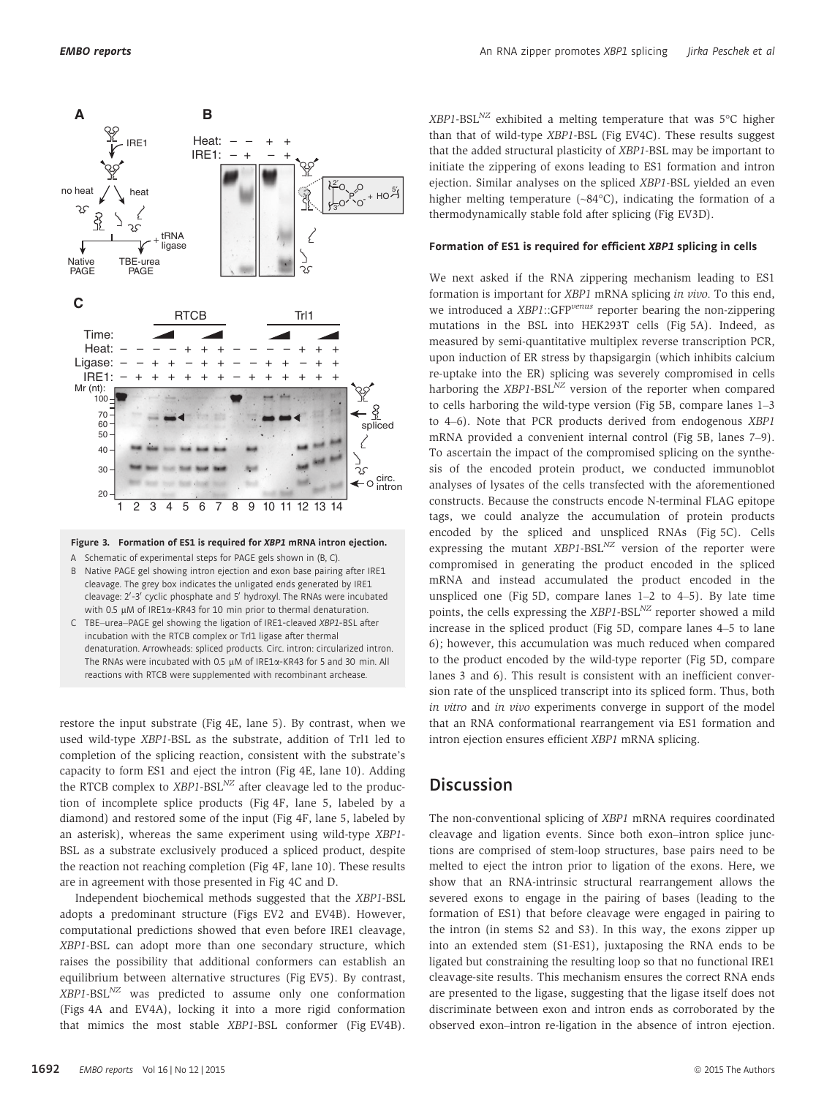

## Figure 3. Formation of ES1 is required for XBP1 mRNA intron ejection.

A Schematic of experimental steps for PAGE gels shown in (B, C).

- B Native PAGE gel showing intron ejection and exon base pairing after IRE1 cleavage. The grey box indicates the unligated ends generated by IRE1 cleavage: 2'-3' cyclic phosphate and 5' hydroxyl. The RNAs were incubated with 0.5  $\mu$ M of IRE1 $\alpha$ -KR43 for 10 min prior to thermal denaturation.
- C TBE–urea–PAGE gel showing the ligation of IRE1-cleaved XBP1-BSL after incubation with the RTCB complex or Trl1 ligase after thermal denaturation. Arrowheads: spliced products. Circ. intron: circularized intron. The RNAs were incubated with 0.5  $\mu$ M of IRE1 $\alpha$ -KR43 for 5 and 30 min. All reactions with RTCB were supplemented with recombinant archease.

restore the input substrate (Fig 4E, lane 5). By contrast, when we used wild-type XBP1-BSL as the substrate, addition of Trl1 led to completion of the splicing reaction, consistent with the substrate's capacity to form ES1 and eject the intron (Fig 4E, lane 10). Adding the RTCB complex to  $XBP1-BSL<sup>NZ</sup>$  after cleavage led to the production of incomplete splice products (Fig 4F, lane 5, labeled by a diamond) and restored some of the input (Fig 4F, lane 5, labeled by an asterisk), whereas the same experiment using wild-type XBP1- BSL as a substrate exclusively produced a spliced product, despite the reaction not reaching completion (Fig 4F, lane 10). These results are in agreement with those presented in Fig 4C and D.

Independent biochemical methods suggested that the XBP1-BSL adopts a predominant structure (Figs EV2 and EV4B). However, computational predictions showed that even before IRE1 cleavage, XBP1-BSL can adopt more than one secondary structure, which raises the possibility that additional conformers can establish an equilibrium between alternative structures (Fig EV5). By contrast,  $XBP1-BSL<sup>NZ</sup>$  was predicted to assume only one conformation (Figs 4A and EV4A), locking it into a more rigid conformation that mimics the most stable XBP1-BSL conformer (Fig EV4B).  $XBP1-BSL<sup>NZ</sup>$  exhibited a melting temperature that was 5°C higher than that of wild-type XBP1-BSL (Fig EV4C). These results suggest that the added structural plasticity of XBP1-BSL may be important to initiate the zippering of exons leading to ES1 formation and intron ejection. Similar analyses on the spliced XBP1-BSL yielded an even higher melting temperature (~84°C), indicating the formation of a thermodynamically stable fold after splicing (Fig EV3D).

## Formation of ES1 is required for efficient XBP1 splicing in cells

We next asked if the RNA zippering mechanism leading to ES1 formation is important for XBP1 mRNA splicing in vivo. To this end, we introduced a XBP1::GFP<sup>venus</sup> reporter bearing the non-zippering mutations in the BSL into HEK293T cells (Fig 5A). Indeed, as measured by semi-quantitative multiplex reverse transcription PCR, upon induction of ER stress by thapsigargin (which inhibits calcium re-uptake into the ER) splicing was severely compromised in cells harboring the  $XBP1-BSL<sup>NZ</sup>$  version of the reporter when compared to cells harboring the wild-type version (Fig 5B, compare lanes 1–3 to 4–6). Note that PCR products derived from endogenous XBP1 mRNA provided a convenient internal control (Fig 5B, lanes 7–9). To ascertain the impact of the compromised splicing on the synthesis of the encoded protein product, we conducted immunoblot analyses of lysates of the cells transfected with the aforementioned constructs. Because the constructs encode N-terminal FLAG epitope tags, we could analyze the accumulation of protein products encoded by the spliced and unspliced RNAs (Fig 5C). Cells expressing the mutant  $XBP1-BSL<sup>NZ</sup>$  version of the reporter were compromised in generating the product encoded in the spliced mRNA and instead accumulated the product encoded in the unspliced one (Fig 5D, compare lanes  $1-2$  to  $4-5$ ). By late time points, the cells expressing the  $XBP1-BSL<sup>NZ</sup>$  reporter showed a mild increase in the spliced product (Fig 5D, compare lanes 4–5 to lane 6); however, this accumulation was much reduced when compared to the product encoded by the wild-type reporter (Fig 5D, compare lanes 3 and 6). This result is consistent with an inefficient conversion rate of the unspliced transcript into its spliced form. Thus, both in vitro and in vivo experiments converge in support of the model that an RNA conformational rearrangement via ES1 formation and intron ejection ensures efficient XBP1 mRNA splicing.

# **Discussion**

The non-conventional splicing of XBP1 mRNA requires coordinated cleavage and ligation events. Since both exon–intron splice junctions are comprised of stem-loop structures, base pairs need to be melted to eject the intron prior to ligation of the exons. Here, we show that an RNA-intrinsic structural rearrangement allows the severed exons to engage in the pairing of bases (leading to the formation of ES1) that before cleavage were engaged in pairing to the intron (in stems S2 and S3). In this way, the exons zipper up into an extended stem (S1-ES1), juxtaposing the RNA ends to be ligated but constraining the resulting loop so that no functional IRE1 cleavage-site results. This mechanism ensures the correct RNA ends are presented to the ligase, suggesting that the ligase itself does not discriminate between exon and intron ends as corroborated by the observed exon–intron re-ligation in the absence of intron ejection.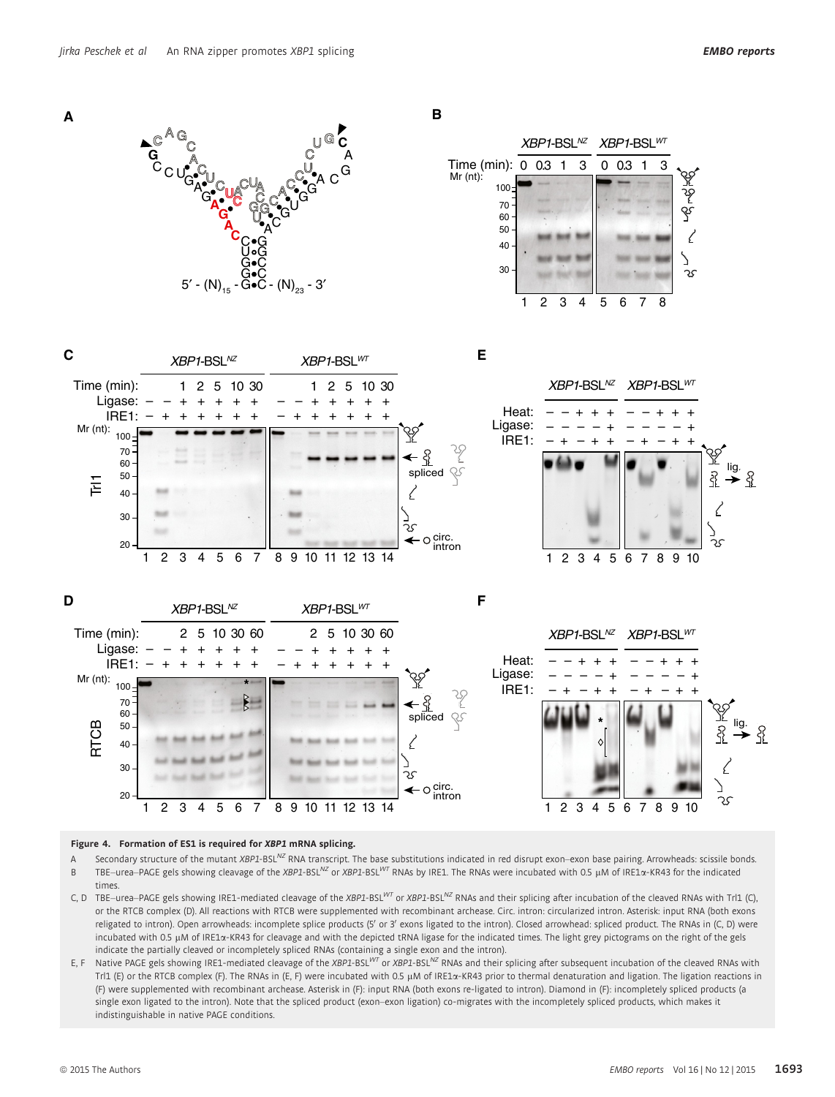



**B**





Figure 4. Formation of ES1 is required for XBP1 mRNA splicing.

1 2 3 4 5 6 7 8 9 10 11 12 13 14

- A Secondary structure of the mutant XBP1-BSL<sup>NZ</sup> RNA transcript. The base substitutions indicated in red disrupt exon–exon base pairing. Arrowheads: scissile bonds. B TBE–urea–PAGE gels showing cleavage of the XBP1-BSL<sup>NZ</sup> or XBP1-BSL<sup>N7</sup> RNAs by IRE1. The RNAs were incubated with 0.5 µM of IRE1a-KR43 for the indicated times.
- C, D TBE-urea-PAGE gels showing IRE1-mediated cleavage of the XBP1-BSL<sup>WT</sup> or XBP1-BSL<sup>NZ</sup> RNAs and their splicing after incubation of the cleaved RNAs with Trl1 (C), or the RTCB complex (D). All reactions with RTCB were supplemented with recombinant archease. Circ. intron: circularized intron. Asterisk: input RNA (both exons religated to intron). Open arrowheads: incomplete splice products (5' or 3' exons ligated to the intron). Closed arrowhead: spliced product. The RNAs in (C, D) were incubated with 0.5 µM of IRE1a-KR43 for cleavage and with the depicted tRNA ligase for the indicated times. The light grey pictograms on the right of the gels indicate the partially cleaved or incompletely spliced RNAs (containing a single exon and the intron).
- E, F Native PAGE gels showing IRE1-mediated cleavage of the XBP1-BSL<sup>WT</sup> or XBP1-BSL<sup>NZ</sup> RNAs and their splicing after subsequent incubation of the cleaved RNAs with Trl1 (E) or the RTCB complex (F). The RNAs in (E, F) were incubated with 0.5 µM of IRE1 $\alpha$ -KR43 prior to thermal denaturation and ligation. The ligation reactions in (F) were supplemented with recombinant archease. Asterisk in (F): input RNA (both exons re-ligated to intron). Diamond in (F): incompletely spliced products (a single exon ligated to the intron). Note that the spliced product (exon–exon ligation) co-migrates with the incompletely spliced products, which makes it indistinguishable in native PAGE conditions.

S

1234 5 6789 10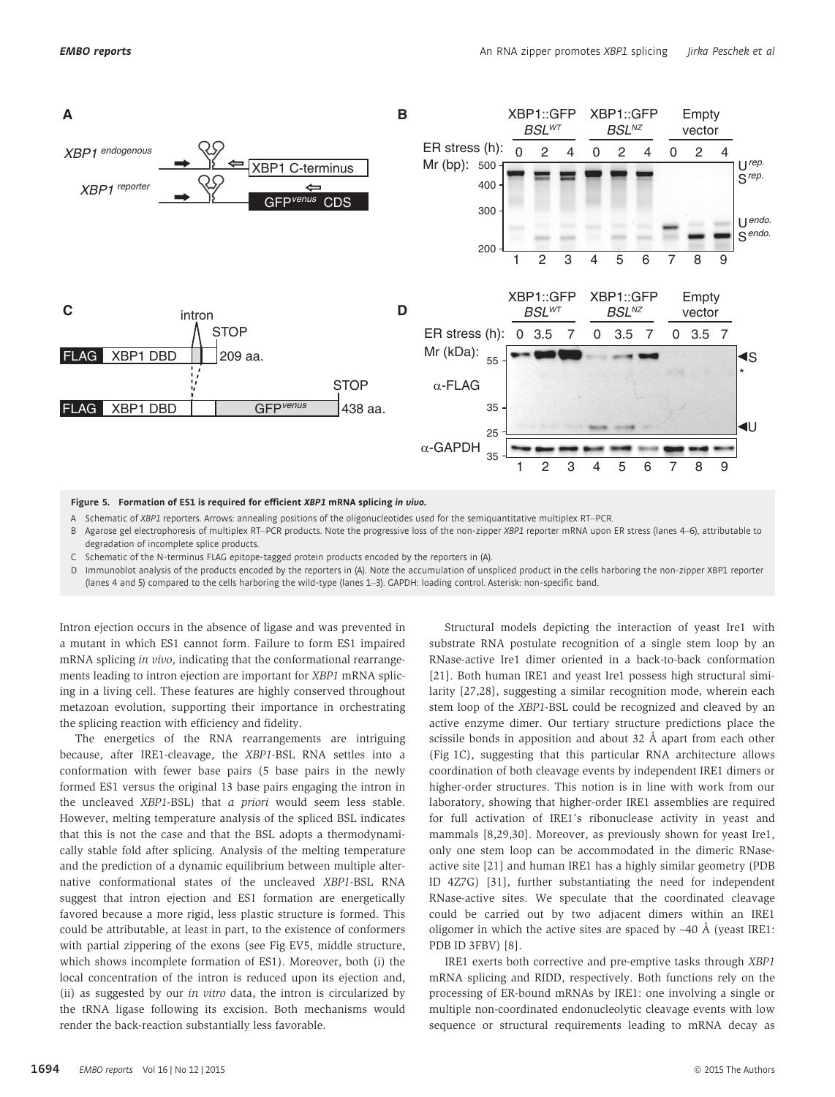

Figure 5. Formation of ES1 is required for efficient XBP1 mRNA splicing in vivo.

A Schematic of XBP1 reporters. Arrows: annealing positions of the oligonucleotides used for the semiquantitative multiplex RT–PCR.

- B Agarose gel electrophoresis of multiplex RT–PCR products. Note the progressive loss of the non-zipper XBP1 reporter mRNA upon ER stress (lanes 4–6), attributable to degradation of incomplete splice products.
- C Schematic of the N-terminus FLAG epitope-tagged protein products encoded by the reporters in (A).
- Immunoblot analysis of the products encoded by the reporters in (A). Note the accumulation of unspliced product in the cells harboring the non-zipper XBP1 reporter (lanes 4 and 5) compared to the cells harboring the wild-type (lanes 1–3). GAPDH: loading control. Asterisk: non-specific band.

Intron ejection occurs in the absence of ligase and was prevented in a mutant in which ES1 cannot form. Failure to form ES1 impaired mRNA splicing in vivo, indicating that the conformational rearrangements leading to intron ejection are important for XBP1 mRNA splicing in a living cell. These features are highly conserved throughout metazoan evolution, supporting their importance in orchestrating the splicing reaction with efficiency and fidelity.

The energetics of the RNA rearrangements are intriguing because, after IRE1-cleavage, the XBP1-BSL RNA settles into a conformation with fewer base pairs (5 base pairs in the newly formed ES1 versus the original 13 base pairs engaging the intron in the uncleaved XBP1-BSL) that a priori would seem less stable. However, melting temperature analysis of the spliced BSL indicates that this is not the case and that the BSL adopts a thermodynamically stable fold after splicing. Analysis of the melting temperature and the prediction of a dynamic equilibrium between multiple alternative conformational states of the uncleaved XBP1-BSL RNA suggest that intron ejection and ES1 formation are energetically favored because a more rigid, less plastic structure is formed. This could be attributable, at least in part, to the existence of conformers with partial zippering of the exons (see Fig EV5, middle structure, which shows incomplete formation of ES1). Moreover, both (i) the local concentration of the intron is reduced upon its ejection and, (ii) as suggested by our in vitro data, the intron is circularized by the tRNA ligase following its excision. Both mechanisms would render the back-reaction substantially less favorable.

Structural models depicting the interaction of yeast Ire1 with substrate RNA postulate recognition of a single stem loop by an RNase-active Ire1 dimer oriented in a back-to-back conformation [21]. Both human IRE1 and yeast Ire1 possess high structural similarity [27,28], suggesting a similar recognition mode, wherein each stem loop of the XBP1-BSL could be recognized and cleaved by an active enzyme dimer. Our tertiary structure predictions place the scissile bonds in apposition and about  $32 \text{ Å}$  apart from each other (Fig 1C), suggesting that this particular RNA architecture allows coordination of both cleavage events by independent IRE1 dimers or higher-order structures. This notion is in line with work from our laboratory, showing that higher-order IRE1 assemblies are required for full activation of IRE1's ribonuclease activity in yeast and mammals [8,29,30]. Moreover, as previously shown for yeast Ire1, only one stem loop can be accommodated in the dimeric RNaseactive site [21] and human IRE1 has a highly similar geometry (PDB ID 4Z7G) [31], further substantiating the need for independent RNase-active sites. We speculate that the coordinated cleavage could be carried out by two adjacent dimers within an IRE1 oligomer in which the active sites are spaced by  $~40$  Å (yeast IRE1: PDB ID 3FBV) [8].

IRE1 exerts both corrective and pre-emptive tasks through XBP1 mRNA splicing and RIDD, respectively. Both functions rely on the processing of ER-bound mRNAs by IRE1: one involving a single or multiple non-coordinated endonucleolytic cleavage events with low sequence or structural requirements leading to mRNA decay as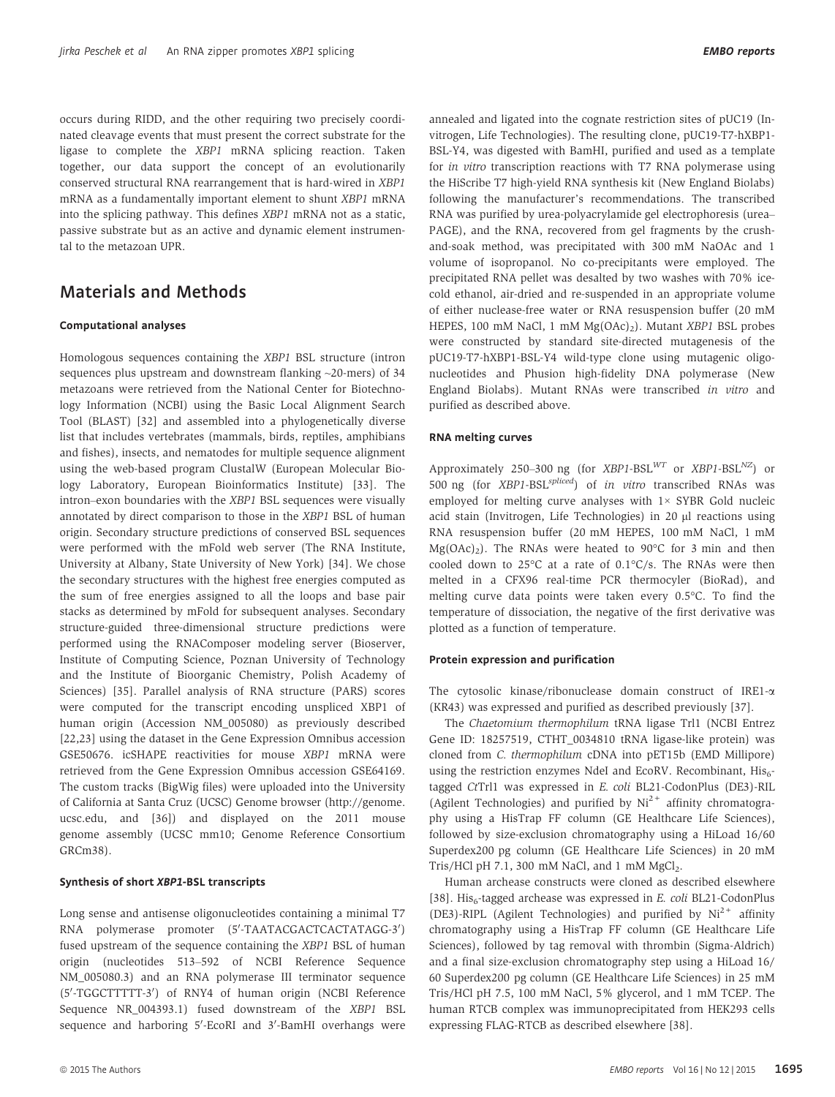occurs during RIDD, and the other requiring two precisely coordinated cleavage events that must present the correct substrate for the ligase to complete the XBP1 mRNA splicing reaction. Taken together, our data support the concept of an evolutionarily conserved structural RNA rearrangement that is hard-wired in XBP1 mRNA as a fundamentally important element to shunt XBP1 mRNA into the splicing pathway. This defines XBP1 mRNA not as a static, passive substrate but as an active and dynamic element instrumental to the metazoan UPR.

# Materials and Methods

## Computational analyses

Homologous sequences containing the XBP1 BSL structure (intron sequences plus upstream and downstream flanking ~20-mers) of 34 metazoans were retrieved from the National Center for Biotechnology Information (NCBI) using the Basic Local Alignment Search Tool (BLAST) [32] and assembled into a phylogenetically diverse list that includes vertebrates (mammals, birds, reptiles, amphibians and fishes), insects, and nematodes for multiple sequence alignment using the web-based program ClustalW (European Molecular Biology Laboratory, European Bioinformatics Institute) [33]. The intron–exon boundaries with the XBP1 BSL sequences were visually annotated by direct comparison to those in the XBP1 BSL of human origin. Secondary structure predictions of conserved BSL sequences were performed with the mFold web server (The RNA Institute, University at Albany, State University of New York) [34]. We chose the secondary structures with the highest free energies computed as the sum of free energies assigned to all the loops and base pair stacks as determined by mFold for subsequent analyses. Secondary structure-guided three-dimensional structure predictions were performed using the RNAComposer modeling server (Bioserver, Institute of Computing Science, Poznan University of Technology and the Institute of Bioorganic Chemistry, Polish Academy of Sciences) [35]. Parallel analysis of RNA structure (PARS) scores were computed for the transcript encoding unspliced XBP1 of human origin (Accession NM\_005080) as previously described [22,23] using the dataset in the Gene Expression Omnibus accession GSE50676. icSHAPE reactivities for mouse XBP1 mRNA were retrieved from the Gene Expression Omnibus accession GSE64169. The custom tracks (BigWig files) were uploaded into the University of California at Santa Cruz (UCSC) Genome browser (http://genome. ucsc.edu, and [36]) and displayed on the 2011 mouse genome assembly (UCSC mm10; Genome Reference Consortium GRCm38).

## Synthesis of short XBP1-BSL transcripts

Long sense and antisense oligonucleotides containing a minimal T7 RNA polymerase promoter (5'-TAATACGACTCACTATAGG-3') fused upstream of the sequence containing the XBP1 BSL of human origin (nucleotides 513–592 of NCBI Reference Sequence NM\_005080.3) and an RNA polymerase III terminator sequence (5'-TGGCTTTTT-3') of RNY4 of human origin (NCBI Reference Sequence NR\_004393.1) fused downstream of the XBP1 BSL sequence and harboring 5'-EcoRI and 3'-BamHI overhangs were

annealed and ligated into the cognate restriction sites of pUC19 (Invitrogen, Life Technologies). The resulting clone, pUC19-T7-hXBP1- BSL-Y4, was digested with BamHI, purified and used as a template for in vitro transcription reactions with T7 RNA polymerase using the HiScribe T7 high-yield RNA synthesis kit (New England Biolabs) following the manufacturer's recommendations. The transcribed RNA was purified by urea-polyacrylamide gel electrophoresis (urea– PAGE), and the RNA, recovered from gel fragments by the crushand-soak method, was precipitated with 300 mM NaOAc and 1 volume of isopropanol. No co-precipitants were employed. The precipitated RNA pellet was desalted by two washes with 70% icecold ethanol, air-dried and re-suspended in an appropriate volume of either nuclease-free water or RNA resuspension buffer (20 mM HEPES, 100 mM NaCl, 1 mM  $Mg(OAc)_{2})$ . Mutant XBP1 BSL probes were constructed by standard site-directed mutagenesis of the pUC19-T7-hXBP1-BSL-Y4 wild-type clone using mutagenic oligonucleotides and Phusion high-fidelity DNA polymerase (New England Biolabs). Mutant RNAs were transcribed in vitro and purified as described above.

#### RNA melting curves

Approximately 250–300 ng (for  $XBP1-BSL<sup>WT</sup>$  or  $XBP1-BSL<sup>NZ</sup>$ ) or 500 ng (for XBP1-BSL<sup>spliced</sup>) of in vitro transcribed RNAs was employed for melting curve analyses with 1× SYBR Gold nucleic acid stain (Invitrogen, Life Technologies) in 20 µl reactions using RNA resuspension buffer (20 mM HEPES, 100 mM NaCl, 1 mM  $Mg(OAc)_2$ ). The RNAs were heated to 90°C for 3 min and then cooled down to 25°C at a rate of 0.1°C/s. The RNAs were then melted in a CFX96 real-time PCR thermocyler (BioRad), and melting curve data points were taken every 0.5°C. To find the temperature of dissociation, the negative of the first derivative was plotted as a function of temperature.

#### Protein expression and purification

The cytosolic kinase/ribonuclease domain construct of IRE1-a (KR43) was expressed and purified as described previously [37].

The Chaetomium thermophilum tRNA ligase Trl1 (NCBI Entrez Gene ID: 18257519, CTHT\_0034810 tRNA ligase-like protein) was cloned from C. thermophilum cDNA into pET15b (EMD Millipore) using the restriction enzymes NdeI and EcoRV. Recombinant,  $His<sub>6</sub>$ tagged CtTrl1 was expressed in E. coli BL21-CodonPlus (DE3)-RIL (Agilent Technologies) and purified by  $Ni<sup>2+</sup>$  affinity chromatography using a HisTrap FF column (GE Healthcare Life Sciences), followed by size-exclusion chromatography using a HiLoad 16/60 Superdex200 pg column (GE Healthcare Life Sciences) in 20 mM Tris/HCl pH  $7.1$ , 300 mM NaCl, and 1 mM MgCl $_2$ .

Human archease constructs were cloned as described elsewhere [38]. His<sub>6</sub>-tagged archease was expressed in E. coli BL21-CodonPlus (DE3)-RIPL (Agilent Technologies) and purified by  $Ni<sup>2+</sup>$  affinity chromatography using a HisTrap FF column (GE Healthcare Life Sciences), followed by tag removal with thrombin (Sigma-Aldrich) and a final size-exclusion chromatography step using a HiLoad 16/ 60 Superdex200 pg column (GE Healthcare Life Sciences) in 25 mM Tris/HCl pH 7.5, 100 mM NaCl, 5% glycerol, and 1 mM TCEP. The human RTCB complex was immunoprecipitated from HEK293 cells expressing FLAG-RTCB as described elsewhere [38].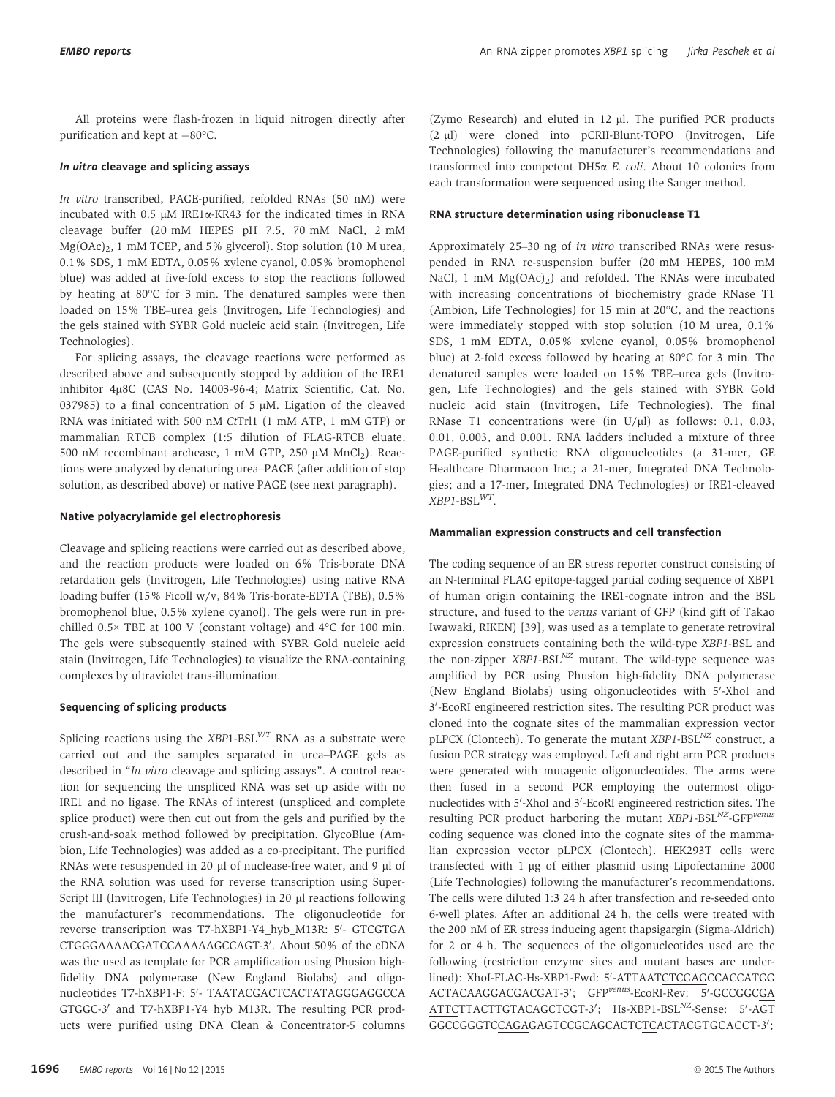All proteins were flash-frozen in liquid nitrogen directly after purification and kept at  $-80^{\circ}$ C.

## In vitro cleavage and splicing assays

In vitro transcribed, PAGE-purified, refolded RNAs (50 nM) were incubated with 0.5  $\mu$ M IRE1 $\alpha$ -KR43 for the indicated times in RNA cleavage buffer (20 mM HEPES pH 7.5, 70 mM NaCl, 2 mM  $Mg(OAc)<sub>2</sub>$ , 1 mM TCEP, and 5% glycerol). Stop solution (10 M urea, 0.1% SDS, 1 mM EDTA, 0.05% xylene cyanol, 0.05% bromophenol blue) was added at five-fold excess to stop the reactions followed by heating at 80°C for 3 min. The denatured samples were then loaded on 15% TBE–urea gels (Invitrogen, Life Technologies) and the gels stained with SYBR Gold nucleic acid stain (Invitrogen, Life Technologies).

For splicing assays, the cleavage reactions were performed as described above and subsequently stopped by addition of the IRE1 inhibitor 4µ8C (CAS No. 14003-96-4; Matrix Scientific, Cat. No. 037985) to a final concentration of 5  $\mu$ M. Ligation of the cleaved RNA was initiated with 500 nM CtTrl1 (1 mM ATP, 1 mM GTP) or mammalian RTCB complex (1:5 dilution of FLAG-RTCB eluate, 500 nM recombinant archease, 1 mM GTP, 250  $\mu$ M MnCl<sub>2</sub>). Reactions were analyzed by denaturing urea–PAGE (after addition of stop solution, as described above) or native PAGE (see next paragraph).

#### Native polyacrylamide gel electrophoresis

Cleavage and splicing reactions were carried out as described above, and the reaction products were loaded on 6% Tris-borate DNA retardation gels (Invitrogen, Life Technologies) using native RNA loading buffer (15% Ficoll w/v, 84% Tris-borate-EDTA (TBE), 0.5% bromophenol blue, 0.5% xylene cyanol). The gels were run in prechilled 0.5× TBE at 100 V (constant voltage) and 4°C for 100 min. The gels were subsequently stained with SYBR Gold nucleic acid stain (Invitrogen, Life Technologies) to visualize the RNA-containing complexes by ultraviolet trans-illumination.

#### Sequencing of splicing products

Splicing reactions using the  $XBP1-BSL<sup>WT</sup>$  RNA as a substrate were carried out and the samples separated in urea–PAGE gels as described in "In vitro cleavage and splicing assays". A control reaction for sequencing the unspliced RNA was set up aside with no IRE1 and no ligase. The RNAs of interest (unspliced and complete splice product) were then cut out from the gels and purified by the crush-and-soak method followed by precipitation. GlycoBlue (Ambion, Life Technologies) was added as a co-precipitant. The purified RNAs were resuspended in 20 µl of nuclease-free water, and 9 µl of the RNA solution was used for reverse transcription using Super-Script III (Invitrogen, Life Technologies) in 20 µl reactions following the manufacturer's recommendations. The oligonucleotide for reverse transcription was T7-hXBP1-Y4\_hyb\_M13R: 5′- GTCGTGA CTGGGAAAACGATCCAAAAAGCCAGT-3'. About 50% of the cDNA was the used as template for PCR amplification using Phusion highfidelity DNA polymerase (New England Biolabs) and oligonucleotides T7-hXBP1-F: 5′- TAATACGACTCACTATAGGGAGGCCA GTGGC-3' and T7-hXBP1-Y4 hyb M13R. The resulting PCR products were purified using DNA Clean & Concentrator-5 columns

(Zymo Research) and eluted in 12  $\mu$ l. The purified PCR products (2 ul) were cloned into pCRII-Blunt-TOPO (Invitrogen, Life Technologies) following the manufacturer's recommendations and transformed into competent DH5a E. coli. About 10 colonies from each transformation were sequenced using the Sanger method.

#### RNA structure determination using ribonuclease T1

Approximately 25–30 ng of in vitro transcribed RNAs were resuspended in RNA re-suspension buffer (20 mM HEPES, 100 mM NaCl, 1 mM Mg(OAc)<sub>2</sub>) and refolded. The RNAs were incubated with increasing concentrations of biochemistry grade RNase T1 (Ambion, Life Technologies) for 15 min at 20°C, and the reactions were immediately stopped with stop solution (10 M urea, 0.1% SDS, 1 mM EDTA, 0.05% xylene cyanol, 0.05% bromophenol blue) at 2-fold excess followed by heating at 80°C for 3 min. The denatured samples were loaded on 15% TBE–urea gels (Invitrogen, Life Technologies) and the gels stained with SYBR Gold nucleic acid stain (Invitrogen, Life Technologies). The final RNase T1 concentrations were (in  $U/\mu$ ) as follows: 0.1, 0.03, 0.01, 0.003, and 0.001. RNA ladders included a mixture of three PAGE-purified synthetic RNA oligonucleotides (a 31-mer, GE Healthcare Dharmacon Inc.; a 21-mer, Integrated DNA Technologies; and a 17-mer, Integrated DNA Technologies) or IRE1-cleaved  $XBP1-BSL<sup>WT</sup>$ .

#### Mammalian expression constructs and cell transfection

The coding sequence of an ER stress reporter construct consisting of an N-terminal FLAG epitope-tagged partial coding sequence of XBP1 of human origin containing the IRE1-cognate intron and the BSL structure, and fused to the venus variant of GFP (kind gift of Takao Iwawaki, RIKEN) [39], was used as a template to generate retroviral expression constructs containing both the wild-type XBP1-BSL and the non-zipper  $XBP1-BSL<sup>NZ</sup>$  mutant. The wild-type sequence was amplified by PCR using Phusion high-fidelity DNA polymerase (New England Biolabs) using oligonucleotides with 5'-XhoI and 3'-EcoRI engineered restriction sites. The resulting PCR product was cloned into the cognate sites of the mammalian expression vector pLPCX (Clontech). To generate the mutant XBP1-BSL<sup>NZ</sup> construct, a fusion PCR strategy was employed. Left and right arm PCR products were generated with mutagenic oligonucleotides. The arms were then fused in a second PCR employing the outermost oligonucleotides with 5'-XhoI and 3'-EcoRI engineered restriction sites. The resulting PCR product harboring the mutant XBP1-BSL<sup>NZ</sup>-GFP<sup>venus</sup> coding sequence was cloned into the cognate sites of the mammalian expression vector pLPCX (Clontech). HEK293T cells were transfected with 1 µg of either plasmid using Lipofectamine 2000 (Life Technologies) following the manufacturer's recommendations. The cells were diluted 1:3 24 h after transfection and re-seeded onto 6-well plates. After an additional 24 h, the cells were treated with the 200 nM of ER stress inducing agent thapsigargin (Sigma-Aldrich) for 2 or 4 h. The sequences of the oligonucleotides used are the following (restriction enzyme sites and mutant bases are underlined): XhoI-FLAG-Hs-XBP1-Fwd: 5'-ATTAATCTCGAGCCACCATGG ACTACAAGGACGACGAT-3'; GFP<sup>venus</sup>-EcoRI-Rev: 5'-GCCGGCGA ATTCTTACTTGTACAGCTCGT-3'; Hs-XBP1-BSL<sup>NZ</sup>-Sense: 5'-AGT GGCCGGGTCCAGAGAGTCCGCAGCACTCTCACTACGTGCACCT-3';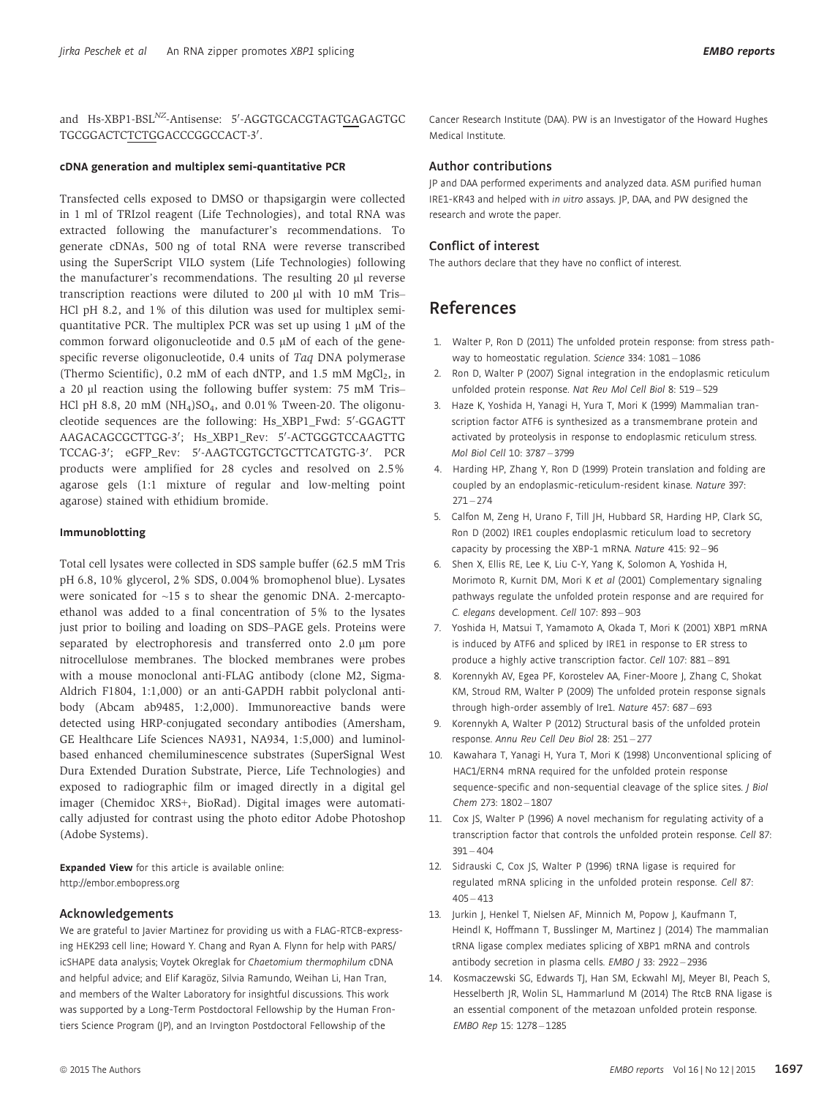and Hs-XBP1-BSL<sup>NZ</sup>-Antisense: 5'-AGGTGCACGTAGTGAGAGTGC TGCGGACTC<u>TCTG</u>GACCCGGCCACT-3'.

## cDNA generation and multiplex semi-quantitative PCR

Transfected cells exposed to DMSO or thapsigargin were collected in 1 ml of TRIzol reagent (Life Technologies), and total RNA was extracted following the manufacturer's recommendations. To generate cDNAs, 500 ng of total RNA were reverse transcribed using the SuperScript VILO system (Life Technologies) following the manufacturer's recommendations. The resulting 20 ul reverse transcription reactions were diluted to 200 µl with 10 mM Tris-HCl pH 8.2, and 1% of this dilution was used for multiplex semiquantitative PCR. The multiplex PCR was set up using  $1 \mu M$  of the common forward oligonucleotide and  $0.5 \mu M$  of each of the genespecific reverse oligonucleotide, 0.4 units of Taq DNA polymerase (Thermo Scientific), 0.2 mM of each dNTP, and 1.5 mM  $MgCl<sub>2</sub>$ , in a 20 µl reaction using the following buffer system: 75 mM Tris-HCl pH 8.8, 20 mM ( $NH<sub>4</sub>$ )SO<sub>4</sub>, and 0.01% Tween-20. The oligonucleotide sequences are the following: Hs\_XBP1\_Fwd: 5′-GGAGTT AAGACAGCGCTTGG-3′; Hs\_XBP1\_Rev: 5′-ACTGGGTCCAAGTTG TCCAG-3′; eGFP\_Rev: 5′-AAGTCGTGCTGCTTCATGTG-3′. PCR products were amplified for 28 cycles and resolved on 2.5% agarose gels (1:1 mixture of regular and low-melting point agarose) stained with ethidium bromide.

#### Immunoblotting

Total cell lysates were collected in SDS sample buffer (62.5 mM Tris pH 6.8, 10% glycerol, 2% SDS, 0.004% bromophenol blue). Lysates were sonicated for ~15 s to shear the genomic DNA. 2-mercaptoethanol was added to a final concentration of 5% to the lysates just prior to boiling and loading on SDS–PAGE gels. Proteins were separated by electrophoresis and transferred onto 2.0 um pore nitrocellulose membranes. The blocked membranes were probes with a mouse monoclonal anti-FLAG antibody (clone M2, Sigma-Aldrich F1804, 1:1,000) or an anti-GAPDH rabbit polyclonal antibody (Abcam ab9485, 1:2,000). Immunoreactive bands were detected using HRP-conjugated secondary antibodies (Amersham, GE Healthcare Life Sciences NA931, NA934, 1:5,000) and luminolbased enhanced chemiluminescence substrates (SuperSignal West Dura Extended Duration Substrate, Pierce, Life Technologies) and exposed to radiographic film or imaged directly in a digital gel imager (Chemidoc XRS+, BioRad). Digital images were automatically adjusted for contrast using the photo editor Adobe Photoshop (Adobe Systems).

Expanded View for this article is available online: http://embor.embopress.org

#### Acknowledgements

We are grateful to Javier Martinez for providing us with a FLAG-RTCB-expressing HEK293 cell line; Howard Y. Chang and Ryan A. Flynn for help with PARS/ icSHAPE data analysis; Voytek Okreglak for Chaetomium thermophilum cDNA and helpful advice; and Elif Karagöz, Silvia Ramundo, Weihan Li, Han Tran, and members of the Walter Laboratory for insightful discussions. This work was supported by a Long-Term Postdoctoral Fellowship by the Human Frontiers Science Program (JP), and an Irvington Postdoctoral Fellowship of the

Cancer Research Institute (DAA). PW is an Investigator of the Howard Hughes Medical Institute.

## Author contributions

JP and DAA performed experiments and analyzed data. ASM purified human IRE1-KR43 and helped with in vitro assays. JP, DAA, and PW designed the research and wrote the paper.

## Conflict of interest

The authors declare that they have no conflict of interest.

# References

- 1. Walter P, Ron D (2011) The unfolded protein response: from stress pathway to homeostatic regulation. Science 334: 1081-1086
- 2. Ron D, Walter P (2007) Signal integration in the endoplasmic reticulum unfolded protein response. Nat Rev Mol Cell Biol 8: 519 – 529
- 3. Haze K, Yoshida H, Yanagi H, Yura T, Mori K (1999) Mammalian transcription factor ATF6 is synthesized as a transmembrane protein and activated by proteolysis in response to endoplasmic reticulum stress. Mol Biol Cell 10: 3787 – 3799
- 4. Harding HP, Zhang Y, Ron D (1999) Protein translation and folding are coupled by an endoplasmic-reticulum-resident kinase. Nature 397:  $271 - 274$
- 5. Calfon M, Zeng H, Urano F, Till JH, Hubbard SR, Harding HP, Clark SG, Ron D (2002) IRE1 couples endoplasmic reticulum load to secretory capacity by processing the XBP-1 mRNA. Nature 415: 92 – 96
- 6. Shen X, Ellis RE, Lee K, Liu C-Y, Yang K, Solomon A, Yoshida H, Morimoto R, Kurnit DM, Mori K et al (2001) Complementary signaling pathways regulate the unfolded protein response and are required for C. elegans development. Cell 107: 893 – 903
- 7. Yoshida H, Matsui T, Yamamoto A, Okada T, Mori K (2001) XBP1 mRNA is induced by ATF6 and spliced by IRE1 in response to ER stress to produce a highly active transcription factor. Cell 107: 881 – 891
- 8. Korennykh AV, Egea PF, Korostelev AA, Finer-Moore J, Zhang C, Shokat KM, Stroud RM, Walter P (2009) The unfolded protein response signals through high-order assembly of Ire1. Nature 457: 687 – 693
- 9. Korennykh A, Walter P (2012) Structural basis of the unfolded protein response. Annu Rev Cell Dev Biol 28: 251 – 277
- 10. Kawahara T, Yanagi H, Yura T, Mori K (1998) Unconventional splicing of HAC1/ERN4 mRNA required for the unfolded protein response sequence-specific and non-sequential cleavage of the splice sites. J Biol Chem 273: 1802 – 1807
- 11. Cox JS, Walter P (1996) A novel mechanism for regulating activity of a transcription factor that controls the unfolded protein response. Cell 87:  $391 - 404$
- 12. Sidrauski C, Cox JS, Walter P (1996) tRNA ligase is required for regulated mRNA splicing in the unfolded protein response. Cell 87:  $405 - 413$
- 13. Jurkin J, Henkel T, Nielsen AF, Minnich M, Popow J, Kaufmann T, Heindl K, Hoffmann T, Busslinger M, Martinez J (2014) The mammalian tRNA ligase complex mediates splicing of XBP1 mRNA and controls antibody secretion in plasma cells. EMBO / 33: 2922 - 2936
- 14. Kosmaczewski SG, Edwards TJ, Han SM, Eckwahl MJ, Meyer BI, Peach S, Hesselberth JR, Wolin SL, Hammarlund M (2014) The RtcB RNA ligase is an essential component of the metazoan unfolded protein response. EMBO Rep 15: 1278 – 1285